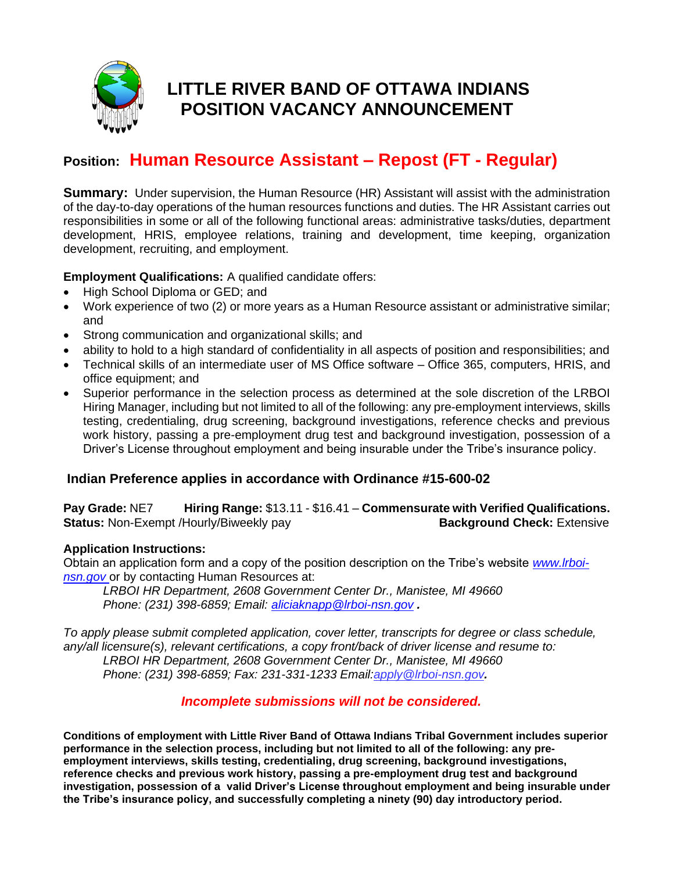

# **LITTLE RIVER BAND OF OTTAWA INDIANS POSITION VACANCY ANNOUNCEMENT**

## **Position: Human Resource Assistant – Repost (FT - Regular)**

**Summary:** Under supervision, the Human Resource (HR) Assistant will assist with the administration of the day-to-day operations of the human resources functions and duties. The HR Assistant carries out responsibilities in some or all of the following functional areas: administrative tasks/duties, department development, HRIS, employee relations, training and development, time keeping, organization development, recruiting, and employment.

**Employment Qualifications:** A qualified candidate offers:

- High School Diploma or GED; and
- Work experience of two (2) or more years as a Human Resource assistant or administrative similar; and
- Strong communication and organizational skills; and
- ability to hold to a high standard of confidentiality in all aspects of position and responsibilities; and
- Technical skills of an intermediate user of MS Office software Office 365, computers, HRIS, and office equipment; and
- Superior performance in the selection process as determined at the sole discretion of the LRBOI Hiring Manager, including but not limited to all of the following: any pre-employment interviews, skills testing, credentialing, drug screening, background investigations, reference checks and previous work history, passing a pre-employment drug test and background investigation, possession of a Driver's License throughout employment and being insurable under the Tribe's insurance policy.

### **Indian Preference applies in accordance with Ordinance #15-600-02**

**Pay Grade:** NE7 **Hiring Range:** \$13.11 - \$16.41 – **Commensurate with Verified Qualifications. Status:** Non-Exempt /Hourly/Biweekly pay **Background Check:** Extensive

#### **Application Instructions:**

Obtain an application form and a copy of the position description on the Tribe's website *[www.lrboi](http://www.lrboi-nsn.gov/)***[nsn.gov](http://www.lrboi-nsn.gov/)** or by contacting Human Resources at:

*LRBOI HR Department, 2608 Government Center Dr., Manistee, MI 49660 Phone: (231) 398-6859; Email: [aliciaknapp@lrboi-nsn.gov](mailto:aliciaknapp@lrboi-nsn.gov) .* 

*To apply please submit completed application, cover letter, transcripts for degree or class schedule, any/all licensure(s), relevant certifications, a copy front/back of driver license and resume to: LRBOI HR Department, 2608 Government Center Dr., Manistee, MI 49660 Phone: (231) 398-6859; Fax: 231-331-1233 Email:apply@lrboi-nsn.gov.* 

### *Incomplete submissions will not be considered.*

**Conditions of employment with Little River Band of Ottawa Indians Tribal Government includes superior performance in the selection process, including but not limited to all of the following: any preemployment interviews, skills testing, credentialing, drug screening, background investigations, reference checks and previous work history, passing a pre-employment drug test and background investigation, possession of a valid Driver's License throughout employment and being insurable under the Tribe's insurance policy, and successfully completing a ninety (90) day introductory period.**